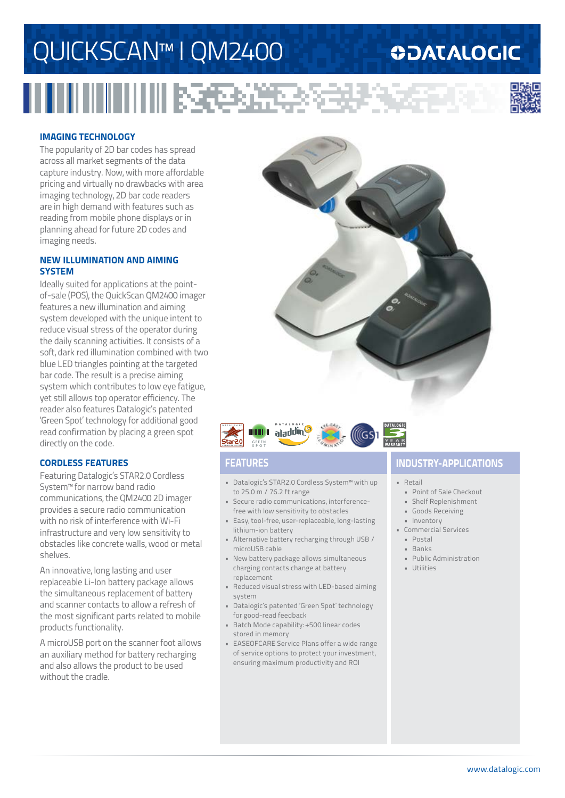## QUICKSCAN™ I QM2400

# 

## **ODATALOGIC**



### **IMAGING TECHNOLOGY**

The popularity of 2D bar codes has spread across all market segments of the data capture industry. Now, with more affordable pricing and virtually no drawbacks with area imaging technology, 2D bar code readers are in high demand with features such as reading from mobile phone displays or in planning ahead for future 2D codes and imaging needs.

### **NEW ILLUMINATION AND AIMING SYSTEM**

Ideally suited for applications at the pointof-sale (POS), the QuickScan QM2400 imager features a new illumination and aiming system developed with the unique intent to reduce visual stress of the operator during the daily scanning activities. It consists of a soft, dark red illumination combined with two blue LED triangles pointing at the targeted bar code. The result is a precise aiming system which contributes to low eye fatigue, yet still allows top operator efficiency. The reader also features Datalogic's patented 'Green Spot' technology for additional good read confirmation by placing a green spot directly on the code.

### **CORDLESS FEATURES**

Featuring Datalogic's STAR2.0 Cordless System™ for narrow band radio communications, the QM2400 2D imager provides a secure radio communication with no risk of interference with Wi-Fi infrastructure and very low sensitivity to obstacles like concrete walls, wood or metal shelves.

An innovative, long lasting and user replaceable Li-Ion battery package allows the simultaneous replacement of battery and scanner contacts to allow a refresh of the most significant parts related to mobile products functionality.

A microUSB port on the scanner foot allows an auxiliary method for battery recharging and also allows the product to be used without the cradle.





- Datalogic's STAR2.0 Cordless System™ with up to 25.0 m / 76.2 ft range
- Secure radio communications, interferencefree with low sensitivity to obstacles
- Easy, tool-free, user-replaceable, long-lasting lithium-ion battery
- Alternative battery recharging through USB / microUSB cable
- New battery package allows simultaneous charging contacts change at battery replacement
- Reduced visual stress with LED-based aiming system
- Datalogic's patented 'Green Spot' technology for good-read feedback
- Batch Mode capability: +500 linear codes stored in memory
- EASEOFCARE Service Plans offer a wide range of service options to protect your investment, ensuring maximum productivity and ROI

## **FEATURES INDUSTRY-APPLICATIONS**

### • Retail

- Point of Sale Checkout
- Shelf Replenishment
- Goods Receiving
- Inventory
- Commercial Services
	- Postal
	- Banks
	- Public Administration
	- Utilities